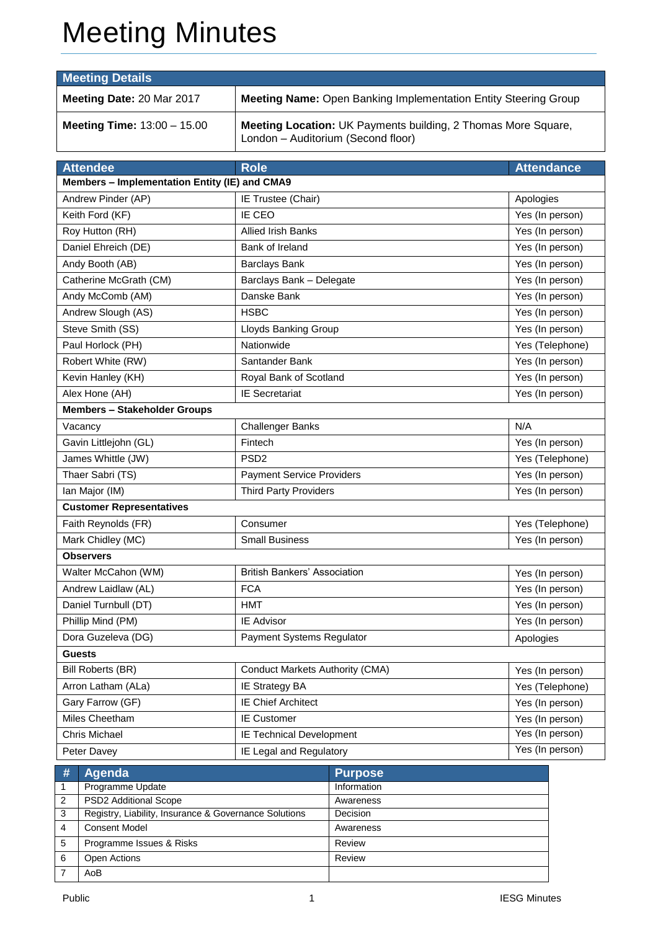# Meeting Minutes

| <b>Meeting Details</b>               |                                                                                                            |  |  |  |
|--------------------------------------|------------------------------------------------------------------------------------------------------------|--|--|--|
| Meeting Date: 20 Mar 2017            | <b>Meeting Name:</b> Open Banking Implementation Entity Steering Group                                     |  |  |  |
| <b>Meeting Time:</b> $13:00 - 15.00$ | <b>Meeting Location: UK Payments building, 2 Thomas More Square,</b><br>London - Auditorium (Second floor) |  |  |  |

| <b>Attendee</b>                               | <b>Role</b>                            | <b>Attendance</b> |  |  |
|-----------------------------------------------|----------------------------------------|-------------------|--|--|
| Members - Implementation Entity (IE) and CMA9 |                                        |                   |  |  |
| Andrew Pinder (AP)                            | IE Trustee (Chair)                     | Apologies         |  |  |
| Keith Ford (KF)                               | IE CEO                                 | Yes (In person)   |  |  |
| Roy Hutton (RH)                               | <b>Allied Irish Banks</b>              | Yes (In person)   |  |  |
| Daniel Ehreich (DE)                           | Bank of Ireland                        | Yes (In person)   |  |  |
| Andy Booth (AB)                               | <b>Barclays Bank</b>                   | Yes (In person)   |  |  |
| Catherine McGrath (CM)                        | Barclays Bank - Delegate               | Yes (In person)   |  |  |
| Andy McComb (AM)                              | Danske Bank                            | Yes (In person)   |  |  |
| Andrew Slough (AS)                            | <b>HSBC</b>                            | Yes (In person)   |  |  |
| Steve Smith (SS)                              | Lloyds Banking Group                   | Yes (In person)   |  |  |
| Paul Horlock (PH)                             | Nationwide                             | Yes (Telephone)   |  |  |
| Robert White (RW)                             | Santander Bank                         | Yes (In person)   |  |  |
| Kevin Hanley (KH)                             | Royal Bank of Scotland                 | Yes (In person)   |  |  |
| Alex Hone (AH)                                | <b>IE Secretariat</b>                  | Yes (In person)   |  |  |
| <b>Members - Stakeholder Groups</b>           |                                        |                   |  |  |
| Vacancy                                       | <b>Challenger Banks</b>                | N/A               |  |  |
| Gavin Littlejohn (GL)                         | Fintech                                | Yes (In person)   |  |  |
| James Whittle (JW)                            | PSD <sub>2</sub>                       | Yes (Telephone)   |  |  |
| Thaer Sabri (TS)                              | <b>Payment Service Providers</b>       | Yes (In person)   |  |  |
| Ian Major (IM)                                | <b>Third Party Providers</b>           | Yes (In person)   |  |  |
| <b>Customer Representatives</b>               |                                        |                   |  |  |
| Faith Reynolds (FR)                           | Consumer                               | Yes (Telephone)   |  |  |
| Mark Chidley (MC)                             | <b>Small Business</b>                  | Yes (In person)   |  |  |
| <b>Observers</b>                              |                                        |                   |  |  |
| Walter McCahon (WM)                           | <b>British Bankers' Association</b>    | Yes (In person)   |  |  |
| Andrew Laidlaw (AL)                           | <b>FCA</b>                             | Yes (In person)   |  |  |
| Daniel Turnbull (DT)                          | <b>HMT</b>                             | Yes (In person)   |  |  |
| Phillip Mind (PM)                             | IE Advisor                             | Yes (In person)   |  |  |
| Dora Guzeleva (DG)                            | Payment Systems Regulator              | Apologies         |  |  |
| <b>Guests</b>                                 |                                        |                   |  |  |
| Bill Roberts (BR)                             | <b>Conduct Markets Authority (CMA)</b> | Yes (In person)   |  |  |
| Arron Latham (ALa)                            | IE Strategy BA                         | Yes (Telephone)   |  |  |
| Gary Farrow (GF)                              | <b>IE Chief Architect</b>              | Yes (In person)   |  |  |
| Miles Cheetham                                | <b>IE Customer</b>                     | Yes (In person)   |  |  |
| Chris Michael                                 | IE Technical Development               | Yes (In person)   |  |  |
| Peter Davey                                   | IE Legal and Regulatory                | Yes (In person)   |  |  |

| # | Agenda                                                | <b>Purpose</b> |
|---|-------------------------------------------------------|----------------|
|   | Programme Update                                      | Information    |
| 2 | PSD2 Additional Scope                                 | Awareness      |
| 3 | Registry, Liability, Insurance & Governance Solutions | Decision       |
| 4 | <b>Consent Model</b>                                  | Awareness      |
| 5 | Programme Issues & Risks                              | Review         |
| 6 | Open Actions                                          | Review         |
|   | AoB                                                   |                |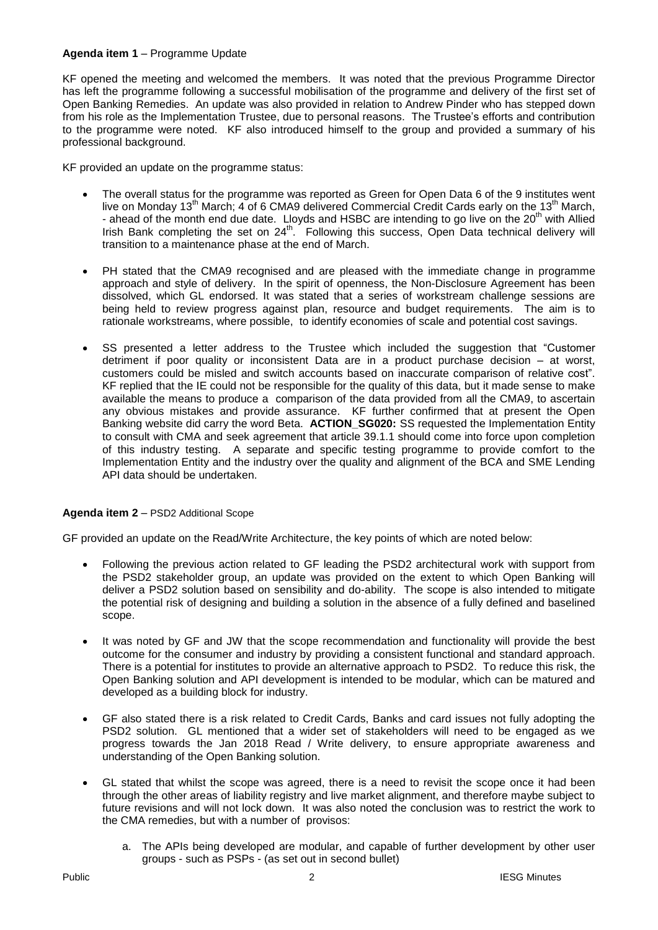#### **Agenda item 1** – Programme Update

KF opened the meeting and welcomed the members. It was noted that the previous Programme Director has left the programme following a successful mobilisation of the programme and delivery of the first set of Open Banking Remedies. An update was also provided in relation to Andrew Pinder who has stepped down from his role as the Implementation Trustee, due to personal reasons. The Trustee's efforts and contribution to the programme were noted. KF also introduced himself to the group and provided a summary of his professional background.

KF provided an update on the programme status:

- The overall status for the programme was reported as Green for Open Data 6 of the 9 institutes went live on Monday 13<sup>th</sup> March; 4 of 6 CMA9 delivered Commercial Credit Cards early on the 13<sup>th</sup> March, - ahead of the month end due date. Lloyds and HSBC are intending to go live on the 20<sup>th</sup> with Allied Irish Bank completing the set on 24<sup>th</sup>. Following this success, Open Data technical delivery will transition to a maintenance phase at the end of March.
- PH stated that the CMA9 recognised and are pleased with the immediate change in programme approach and style of delivery. In the spirit of openness, the Non-Disclosure Agreement has been dissolved, which GL endorsed. It was stated that a series of workstream challenge sessions are being held to review progress against plan, resource and budget requirements. The aim is to rationale workstreams, where possible, to identify economies of scale and potential cost savings.
- SS presented a letter address to the Trustee which included the suggestion that "Customer detriment if poor quality or inconsistent Data are in a product purchase decision – at worst, customers could be misled and switch accounts based on inaccurate comparison of relative cost". KF replied that the IE could not be responsible for the quality of this data, but it made sense to make available the means to produce a comparison of the data provided from all the CMA9, to ascertain any obvious mistakes and provide assurance. KF further confirmed that at present the Open Banking website did carry the word Beta. **ACTION\_SG020:** SS requested the Implementation Entity to consult with CMA and seek agreement that article 39.1.1 should come into force upon completion of this industry testing. A separate and specific testing programme to provide comfort to the Implementation Entity and the industry over the quality and alignment of the BCA and SME Lending API data should be undertaken.

#### **Agenda item 2** – PSD2 Additional Scope

GF provided an update on the Read/Write Architecture, the key points of which are noted below:

- Following the previous action related to GF leading the PSD2 architectural work with support from the PSD2 stakeholder group, an update was provided on the extent to which Open Banking will deliver a PSD2 solution based on sensibility and do-ability. The scope is also intended to mitigate the potential risk of designing and building a solution in the absence of a fully defined and baselined scope.
- It was noted by GF and JW that the scope recommendation and functionality will provide the best outcome for the consumer and industry by providing a consistent functional and standard approach. There is a potential for institutes to provide an alternative approach to PSD2. To reduce this risk, the Open Banking solution and API development is intended to be modular, which can be matured and developed as a building block for industry.
- GF also stated there is a risk related to Credit Cards, Banks and card issues not fully adopting the PSD2 solution. GL mentioned that a wider set of stakeholders will need to be engaged as we progress towards the Jan 2018 Read / Write delivery, to ensure appropriate awareness and understanding of the Open Banking solution.
- GL stated that whilst the scope was agreed, there is a need to revisit the scope once it had been through the other areas of liability registry and live market alignment, and therefore maybe subject to future revisions and will not lock down. It was also noted the conclusion was to restrict the work to the CMA remedies, but with a number of provisos:
	- a. The APIs being developed are modular, and capable of further development by other user groups - such as PSPs - (as set out in second bullet)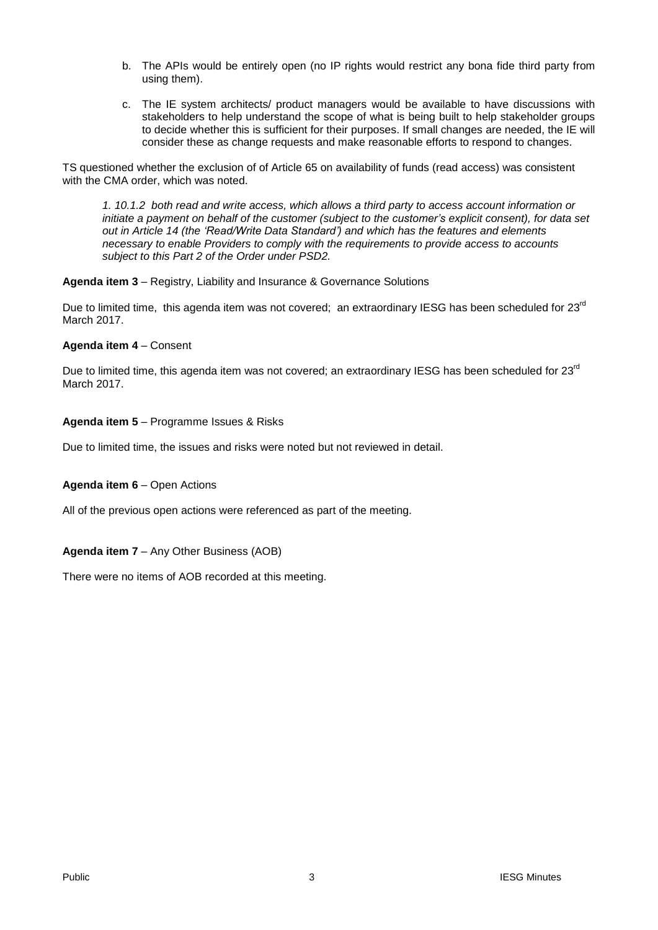- b. The APIs would be entirely open (no IP rights would restrict any bona fide third party from using them).
- c. The IE system architects/ product managers would be available to have discussions with stakeholders to help understand the scope of what is being built to help stakeholder groups to decide whether this is sufficient for their purposes. If small changes are needed, the IE will consider these as change requests and make reasonable efforts to respond to changes.

TS questioned whether the exclusion of of Article 65 on availability of funds (read access) was consistent with the CMA order, which was noted.

*1. 10.1.2 both read and write access, which allows a third party to access account information or initiate a payment on behalf of the customer (subject to the customer's explicit consent), for data set out in Article 14 (the 'Read/Write Data Standard') and which has the features and elements necessary to enable Providers to comply with the requirements to provide access to accounts subject to this Part 2 of the Order under PSD2.*

#### **Agenda item 3** – Registry, Liability and Insurance & Governance Solutions

Due to limited time, this agenda item was not covered; an extraordinary IESG has been scheduled for 23<sup>rd</sup> March 2017.

#### **Agenda item 4** – Consent

Due to limited time, this agenda item was not covered; an extraordinary IESG has been scheduled for 23<sup>rd</sup> March 2017.

#### **Agenda item 5** – Programme Issues & Risks

Due to limited time, the issues and risks were noted but not reviewed in detail.

#### **Agenda item 6** – Open Actions

All of the previous open actions were referenced as part of the meeting.

#### **Agenda item 7** – Any Other Business (AOB)

There were no items of AOB recorded at this meeting.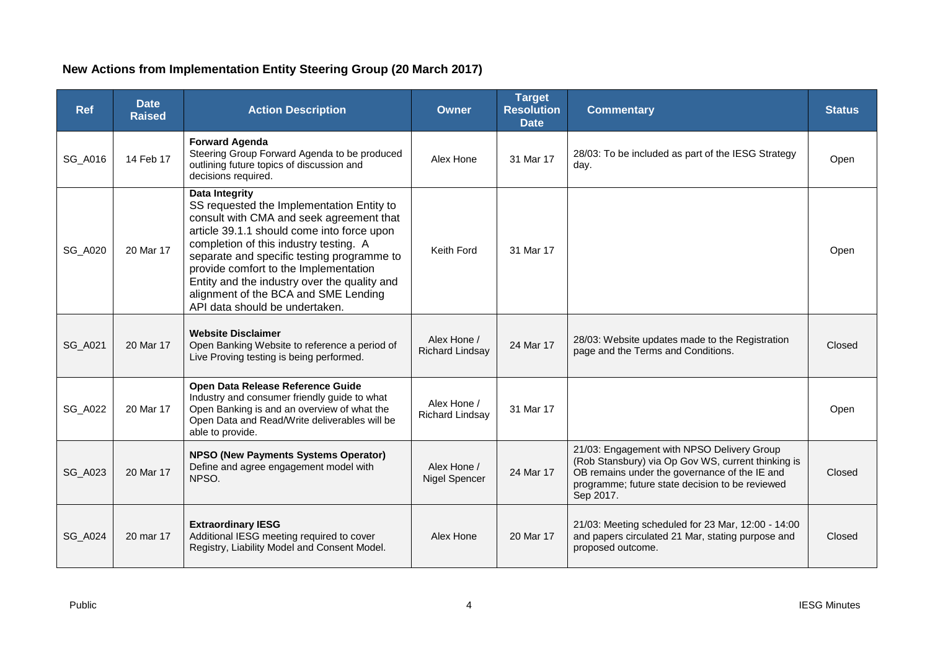### **New Actions from Implementation Entity Steering Group (20 March 2017)**

| <b>Ref</b>     | <b>Date</b><br><b>Raised</b> | <b>Action Description</b>                                                                                                                                                                                                                                                                                                                                                                                               | <b>Owner</b>                          | <b>Target</b><br><b>Resolution</b><br><b>Date</b> | <b>Commentary</b>                                                                                                                                                                                                 | <b>Status</b> |
|----------------|------------------------------|-------------------------------------------------------------------------------------------------------------------------------------------------------------------------------------------------------------------------------------------------------------------------------------------------------------------------------------------------------------------------------------------------------------------------|---------------------------------------|---------------------------------------------------|-------------------------------------------------------------------------------------------------------------------------------------------------------------------------------------------------------------------|---------------|
| SG_A016        | 14 Feb 17                    | <b>Forward Agenda</b><br>Steering Group Forward Agenda to be produced<br>outlining future topics of discussion and<br>decisions required.                                                                                                                                                                                                                                                                               | Alex Hone                             | 31 Mar 17                                         | 28/03: To be included as part of the IESG Strategy<br>day.                                                                                                                                                        | Open          |
| <b>SG_A020</b> | 20 Mar 17                    | <b>Data Integrity</b><br>SS requested the Implementation Entity to<br>consult with CMA and seek agreement that<br>article 39.1.1 should come into force upon<br>completion of this industry testing. A<br>separate and specific testing programme to<br>provide comfort to the Implementation<br>Entity and the industry over the quality and<br>alignment of the BCA and SME Lending<br>API data should be undertaken. | Keith Ford                            | 31 Mar 17                                         |                                                                                                                                                                                                                   | Open          |
| <b>SG_A021</b> | 20 Mar 17                    | <b>Website Disclaimer</b><br>Open Banking Website to reference a period of<br>Live Proving testing is being performed.                                                                                                                                                                                                                                                                                                  | Alex Hone /<br><b>Richard Lindsay</b> | 24 Mar 17                                         | 28/03: Website updates made to the Registration<br>page and the Terms and Conditions.                                                                                                                             | Closed        |
| <b>SG_A022</b> | 20 Mar 17                    | Open Data Release Reference Guide<br>Industry and consumer friendly guide to what<br>Open Banking is and an overview of what the<br>Open Data and Read/Write deliverables will be<br>able to provide.                                                                                                                                                                                                                   | Alex Hone /<br><b>Richard Lindsay</b> | 31 Mar 17                                         |                                                                                                                                                                                                                   | Open          |
| <b>SG_A023</b> | 20 Mar 17                    | <b>NPSO (New Payments Systems Operator)</b><br>Define and agree engagement model with<br>NPSO.                                                                                                                                                                                                                                                                                                                          | Alex Hone /<br>Nigel Spencer          | 24 Mar 17                                         | 21/03: Engagement with NPSO Delivery Group<br>(Rob Stansbury) via Op Gov WS, current thinking is<br>OB remains under the governance of the IE and<br>programme; future state decision to be reviewed<br>Sep 2017. | Closed        |
| <b>SG_A024</b> | 20 mar 17                    | <b>Extraordinary IESG</b><br>Additional IESG meeting required to cover<br>Registry, Liability Model and Consent Model.                                                                                                                                                                                                                                                                                                  | Alex Hone                             | 20 Mar 17                                         | 21/03: Meeting scheduled for 23 Mar, 12:00 - 14:00<br>and papers circulated 21 Mar, stating purpose and<br>proposed outcome.                                                                                      | Closed        |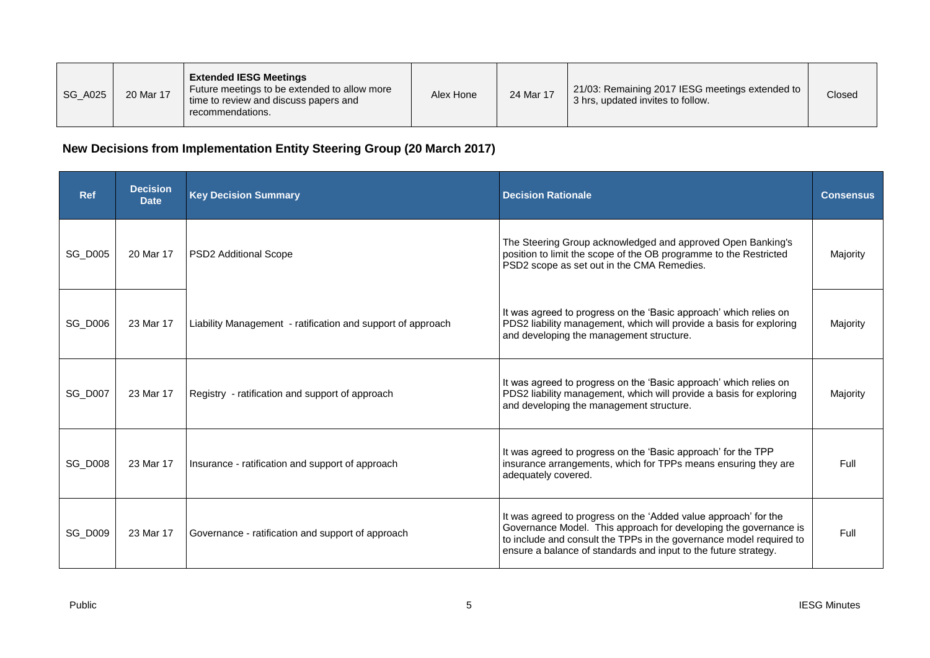| <b>SG_A025</b> | 20 Mar 17 | <b>Extended IESG Meetings</b><br>Future meetings to be extended to allow more<br>time to review and discuss papers and<br>recommendations. | Alex Hone | 24 Mar 17 | 21/03: Remaining 2017 IESG meetings extended to<br>3 hrs, updated invites to follow. | Closed |
|----------------|-----------|--------------------------------------------------------------------------------------------------------------------------------------------|-----------|-----------|--------------------------------------------------------------------------------------|--------|
|----------------|-----------|--------------------------------------------------------------------------------------------------------------------------------------------|-----------|-----------|--------------------------------------------------------------------------------------|--------|

## **New Decisions from Implementation Entity Steering Group (20 March 2017)**

| <b>Ref</b>     | <b>Decision</b><br><b>Date</b> | <b>Key Decision Summary</b>                                 | <b>Decision Rationale</b>                                                                                                                                                                                                                                                     | <b>Consensus</b> |
|----------------|--------------------------------|-------------------------------------------------------------|-------------------------------------------------------------------------------------------------------------------------------------------------------------------------------------------------------------------------------------------------------------------------------|------------------|
| <b>SG D005</b> | 20 Mar 17                      | <b>PSD2 Additional Scope</b>                                | The Steering Group acknowledged and approved Open Banking's<br>position to limit the scope of the OB programme to the Restricted<br>PSD2 scope as set out in the CMA Remedies.                                                                                                | Majority         |
| <b>SG_D006</b> | 23 Mar 17                      | Liability Management - ratification and support of approach | It was agreed to progress on the 'Basic approach' which relies on<br>PDS2 liability management, which will provide a basis for exploring<br>and developing the management structure.                                                                                          | Majority         |
| <b>SG_D007</b> | 23 Mar 17                      | Registry - ratification and support of approach             | It was agreed to progress on the 'Basic approach' which relies on<br>PDS2 liability management, which will provide a basis for exploring<br>and developing the management structure.                                                                                          | Majority         |
| <b>SG_D008</b> | 23 Mar 17                      | Insurance - ratification and support of approach            | It was agreed to progress on the 'Basic approach' for the TPP<br>insurance arrangements, which for TPPs means ensuring they are<br>adequately covered.                                                                                                                        | Full             |
| <b>SG_D009</b> | 23 Mar 17                      | Governance - ratification and support of approach           | It was agreed to progress on the 'Added value approach' for the<br>Governance Model. This approach for developing the governance is<br>to include and consult the TPPs in the governance model required to<br>ensure a balance of standards and input to the future strategy. | Full             |